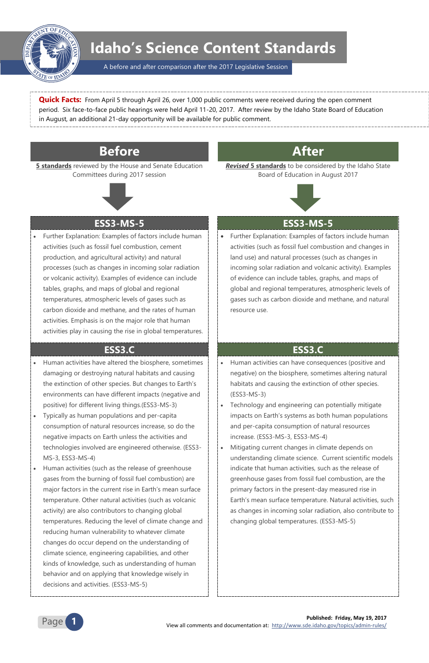

**Published: Friday, May 19, 2017** View all comments and documentation at: <http://www.sde.idaho.gov/topics/admin-rules/>



# **Idaho's Science Content Standards**

A before and after comparison after the 2017 Legislative Session

**Quick Facts:** From April 5 through April 26, over 1,000 public comments were received during the open comment period. Six face-to-face public hearings were held April 11-20, 2017. After review by the Idaho State Board of Education in August, an additional 21-day opportunity will be available for public comment.

# **Before After**

**5 standards** reviewed by the House and Senate Education Committees during 2017 session



*Revised* **5 standards** to be considered by the Idaho State Board of Education in August 2017



## **ESS3-MS-5 ESS3-MS-5**

 Further Explanation: Examples of factors include human activities (such as fossil fuel combustion, cement production, and agricultural activity) and natural processes (such as changes in incoming solar radiation or volcanic activity). Examples of evidence can include tables, graphs, and maps of global and regional temperatures, atmospheric levels of gases such as carbon dioxide and methane, and the rates of human activities. Emphasis is on the major role that human activities play in causing the rise in global temperatures.  Further Explanation: Examples of factors include human activities (such as fossil fuel combustion and changes in land use) and natural processes (such as changes in incoming solar radiation and volcanic activity). Examples of evidence can include tables, graphs, and maps of global and regional temperatures, atmospheric levels of gases such as carbon dioxide and methane, and natural resource use.

### **ESS3.C ESS3.C**

- Human activities have altered the biosphere, sometimes damaging or destroying natural habitats and causing the extinction of other species. But changes to Earth's environments can have different impacts (negative and positive) for different living things.(ESS3-MS-3)
- Typically as human populations and per-capita consumption of natural resources increase, so do the negative impacts on Earth unless the activities and technologies involved are engineered otherwise. (ESS3- MS-3, ESS3-MS-4)
- Human activities (such as the release of greenhouse gases from the burning of fossil fuel combustion) are

major factors in the current rise in Earth's mean surface temperature. Other natural activities (such as volcanic activity) are also contributors to changing global temperatures. Reducing the level of climate change and reducing human vulnerability to whatever climate changes do occur depend on the understanding of climate science, engineering capabilities, and other kinds of knowledge, such as understanding of human behavior and on applying that knowledge wisely in decisions and activities. (ESS3-MS-5)

- Human activities can have consequences (positive and negative) on the biosphere, sometimes altering natural habitats and causing the extinction of other species. (ESS3-MS-3)
- Technology and engineering can potentially mitigate impacts on Earth's systems as both human populations and per-capita consumption of natural resources increase. (ESS3-MS-3, ESS3-MS-4)
- Mitigating current changes in climate depends on understanding climate science. Current scientific models indicate that human activities, such as the release of greenhouse gases from fossil fuel combustion, are the

primary factors in the present-day measured rise in Earth's mean surface temperature. Natural activities, such as changes in incoming solar radiation, also contribute to changing global temperatures. (ESS3-MS-5)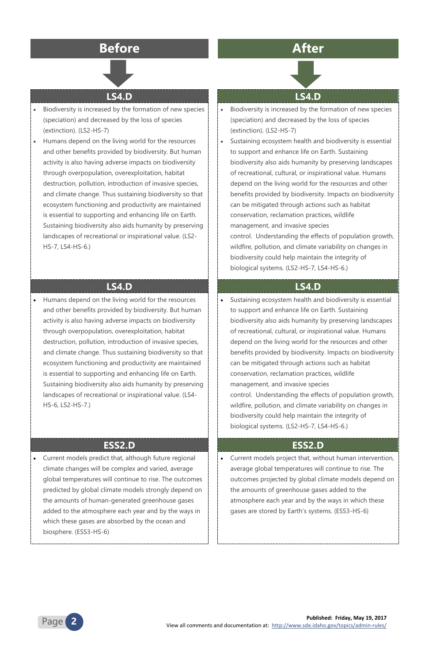

**Published: Friday, May 19, 2017**

View all comments and documentation at: <http://www.sde.idaho.gov/topics/admin-rules/>

# **Before After**



### **LS4.D LS4.D**

- Biodiversity is increased by the formation of new species (speciation) and decreased by the loss of species (extinction). (LS2-HS-7)
- Humans depend on the living world for the resources and other benefits provided by biodiversity. But human activity is also having adverse impacts on biodiversity through overpopulation, overexploitation, habitat destruction, pollution, introduction of invasive species, and climate change. Thus sustaining biodiversity so that ecosystem functioning and productivity are maintained is essential to supporting and enhancing life on Earth. Sustaining biodiversity also aids humanity by preserving landscapes of recreational or inspirational value. (LS2- HS-7, LS4-HS-6.)
- Biodiversity is increased by the formation of new species (speciation) and decreased by the loss of species (extinction). (LS2-HS-7)
- Sustaining ecosystem health and biodiversity is essential to support and enhance life on Earth. Sustaining biodiversity also aids humanity by preserving landscapes of recreational, cultural, or inspirational value. Humans depend on the living world for the resources and other benefits provided by biodiversity. Impacts on biodiversity can be mitigated through actions such as habitat conservation, reclamation practices, wildlife management, and invasive species control. Understanding the effects of population growth, wildfire, pollution, and climate variability on changes in biodiversity could help maintain the integrity of biological systems. (LS2-HS-7, LS4-HS-6.)

### **LS4.D LS4.D**

 Humans depend on the living world for the resources and other benefits provided by biodiversity. But human activity is also having adverse impacts on biodiversity through overpopulation, overexploitation, habitat destruction, pollution, introduction of invasive species, and climate change. Thus sustaining biodiversity so that ecosystem functioning and productivity are maintained is essential to supporting and enhancing life on Earth. Sustaining biodiversity also aids humanity by preserving landscapes of recreational or inspirational value. (LS4- HS-6, LS2-HS-7.)

 Sustaining ecosystem health and biodiversity is essential to support and enhance life on Earth. Sustaining biodiversity also aids humanity by preserving landscapes of recreational, cultural, or inspirational value. Humans depend on the living world for the resources and other benefits provided by biodiversity. Impacts on biodiversity can be mitigated through actions such as habitat conservation, reclamation practices, wildlife management, and invasive species control. Understanding the effects of population growth, wildfire, pollution, and climate variability on changes in biodiversity could help maintain the integrity of biological systems. (LS2-HS-7, LS4-HS-6.)

### **ESS2.D ESS2.D**

 Current models predict that, although future regional climate changes will be complex and varied, average global temperatures will continue to rise. The outcomes



predicted by global climate models strongly depend on the amounts of human-generated greenhouse gases added to the atmosphere each year and by the ways in which these gases are absorbed by the ocean and biosphere. (ESS3-HS-6)

 Current models project that, without human intervention, average global temperatures will continue to rise. The outcomes projected by global climate models depend on

the amounts of greenhouse gases added to the atmosphere each year and by the ways in which these gases are stored by Earth's systems. (ESS3-HS-6)